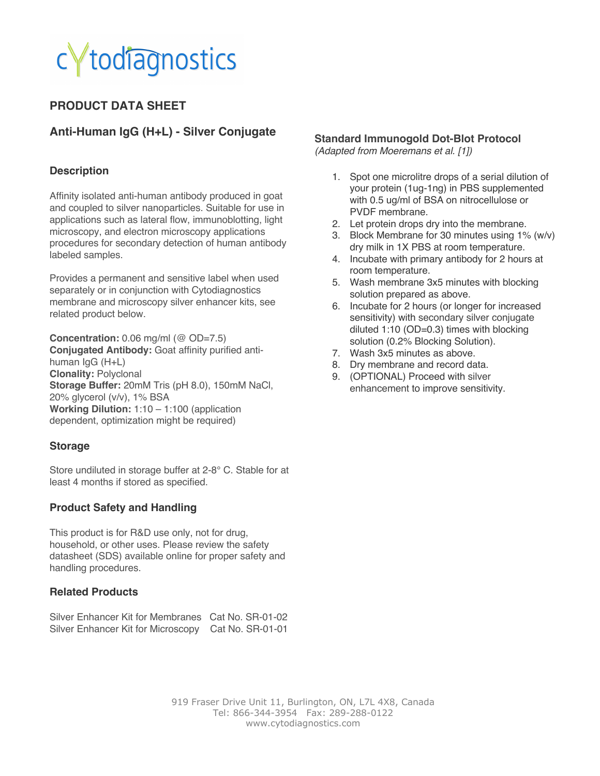## todiagnostics

## **PRODUCT DATA SHEET**

### **Anti-Human IgG (H+L) - Silver Conjugate**

#### **Description**

Affinity isolated anti-human antibody produced in goat and coupled to silver nanoparticles. Suitable for use in applications such as lateral flow, immunoblotting, light microscopy, and electron microscopy applications procedures for secondary detection of human antibody labeled samples.

Provides a permanent and sensitive label when used separately or in conjunction with Cytodiagnostics membrane and microscopy silver enhancer kits, see related product below.

**Concentration:** 0.06 mg/ml (@ OD=7.5) **Conjugated Antibody:** Goat affinity purified antihuman IgG (H+L) **Clonality:** Polyclonal **Storage Buffer:** 20mM Tris (pH 8.0), 150mM NaCl, 20% glycerol (v/v), 1% BSA **Working Dilution:** 1:10 – 1:100 (application dependent, optimization might be required)

#### **Storage**

Store undiluted in storage buffer at 2-8° C. Stable for at least 4 months if stored as specified.

#### **Product Safety and Handling**

This product is for R&D use only, not for drug, household, or other uses. Please review the safety datasheet (SDS) available online for proper safety and handling procedures.

#### **Related Products**

|  | Silver Enhancer Kit for Membranes Cat No. SR-01-02 |                  |
|--|----------------------------------------------------|------------------|
|  | Silver Enhancer Kit for Microscopy                 | Cat No. SR-01-01 |

#### **Standard Immunogold Dot-Blot Protocol**

*(Adapted from Moeremans et al. [1])*

- 1. Spot one microlitre drops of a serial dilution of your protein (1ug-1ng) in PBS supplemented with 0.5 ug/ml of BSA on nitrocellulose or PVDF membrane.
- 2. Let protein drops dry into the membrane.
- 3. Block Membrane for 30 minutes using 1% (w/v) dry milk in 1X PBS at room temperature.
- 4. Incubate with primary antibody for 2 hours at room temperature.
- 5. Wash membrane 3x5 minutes with blocking solution prepared as above.
- 6. Incubate for 2 hours (or longer for increased sensitivity) with secondary silver conjugate diluted 1:10 (OD=0.3) times with blocking solution (0.2% Blocking Solution).
- 7. Wash 3x5 minutes as above.
- 8. Dry membrane and record data.
- 9. (OPTIONAL) Proceed with silver enhancement to improve sensitivity.